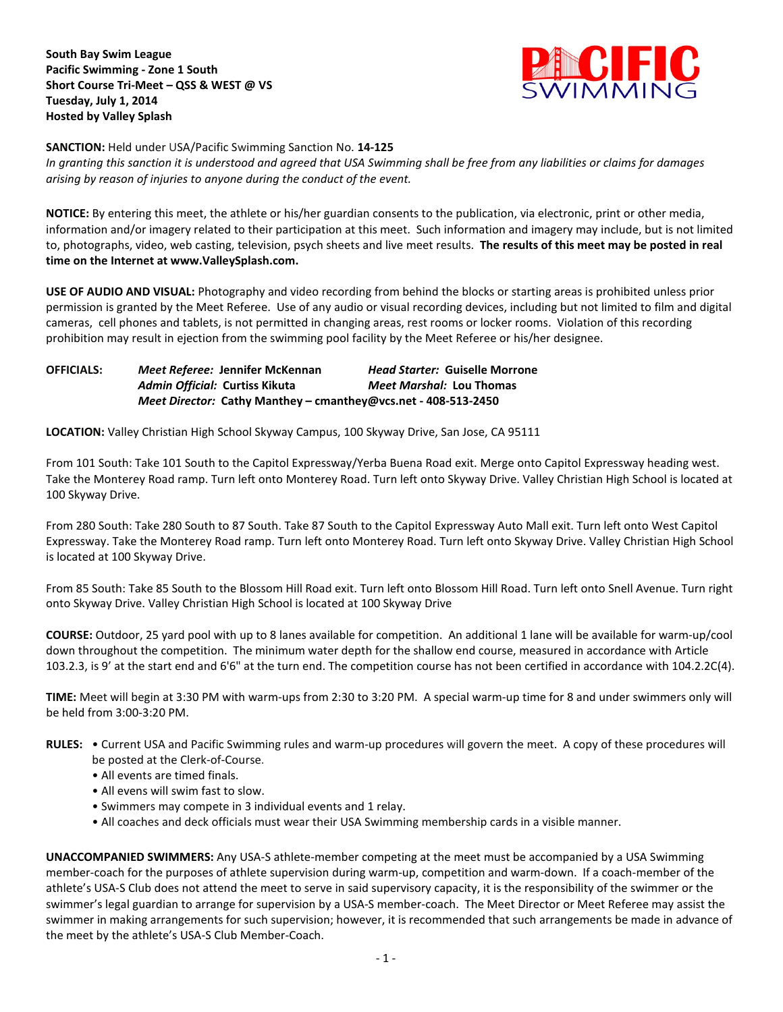**South Bay Swim League Pacific Swimming - Zone 1 South Short Course Tri-Meet – QSS & WEST @ VS Tuesday, July 1, 2014 Hosted by Valley Splash**



**SANCTION:** Held under USA/Pacific Swimming Sanction No. **14-125**

*In granting this sanction it is understood and agreed that USA Swimming shall be free from any liabilities or claims for damages arising by reason of injuries to anyone during the conduct of the event.*

**NOTICE:** By entering this meet, the athlete or his/her guardian consents to the publication, via electronic, print or other media, information and/or imagery related to their participation at this meet. Such information and imagery may include, but is not limited to, photographs, video, web casting, television, psych sheets and live meet results. **The results of this meet may be posted in real time on the Internet at www.ValleySplash.com.**

**USE OF AUDIO AND VISUAL:** Photography and video recording from behind the blocks or starting areas is prohibited unless prior permission is granted by the Meet Referee. Use of any audio or visual recording devices, including but not limited to film and digital cameras, cell phones and tablets, is not permitted in changing areas, rest rooms or locker rooms. Violation of this recording prohibition may result in ejection from the swimming pool facility by the Meet Referee or his/her designee.

**OFFICIALS:** *Meet Referee:* **Jennifer McKennan** *Head Starter:* **Guiselle Morrone**  *Admin Official:* **Curtiss Kikuta** *Meet Marshal:* **Lou Thomas** *Meet Director:* **Cathy Manthey – cmanthey@vcs.net - 408-513-2450**

**LOCATION:** Valley Christian High School Skyway Campus, 100 Skyway Drive, San Jose, CA 95111

From 101 South: Take 101 South to the Capitol Expressway/Yerba Buena Road exit. Merge onto Capitol Expressway heading west. Take the Monterey Road ramp. Turn left onto Monterey Road. Turn left onto Skyway Drive. Valley Christian High School is located at 100 Skyway Drive.

From 280 South: Take 280 South to 87 South. Take 87 South to the Capitol Expressway Auto Mall exit. Turn left onto West Capitol Expressway. Take the Monterey Road ramp. Turn left onto Monterey Road. Turn left onto Skyway Drive. Valley Christian High School is located at 100 Skyway Drive.

From 85 South: Take 85 South to the Blossom Hill Road exit. Turn left onto Blossom Hill Road. Turn left onto Snell Avenue. Turn right onto Skyway Drive. Valley Christian High School is located at 100 Skyway Drive

**COURSE:** Outdoor, 25 yard pool with up to 8 lanes available for competition. An additional 1 lane will be available for warm-up/cool down throughout the competition. The minimum water depth for the shallow end course, measured in accordance with Article 103.2.3, is 9' at the start end and 6'6" at the turn end. The competition course has not been certified in accordance with 104.2.2C(4).

**TIME:** Meet will begin at 3:30 PM with warm-ups from 2:30 to 3:20 PM. A special warm-up time for 8 and under swimmers only will be held from 3:00-3:20 PM.

**RULES:** • Current USA and Pacific Swimming rules and warm-up procedures will govern the meet. A copy of these procedures will be posted at the Clerk-of-Course.

- All events are timed finals.
- All evens will swim fast to slow.
- Swimmers may compete in 3 individual events and 1 relay.
- All coaches and deck officials must wear their USA Swimming membership cards in a visible manner.

**UNACCOMPANIED SWIMMERS:** Any USA-S athlete-member competing at the meet must be accompanied by a USA Swimming member-coach for the purposes of athlete supervision during warm-up, competition and warm-down. If a coach-member of the athlete's USA-S Club does not attend the meet to serve in said supervisory capacity, it is the responsibility of the swimmer or the swimmer's legal guardian to arrange for supervision by a USA-S member-coach. The Meet Director or Meet Referee may assist the swimmer in making arrangements for such supervision; however, it is recommended that such arrangements be made in advance of the meet by the athlete's USA-S Club Member-Coach.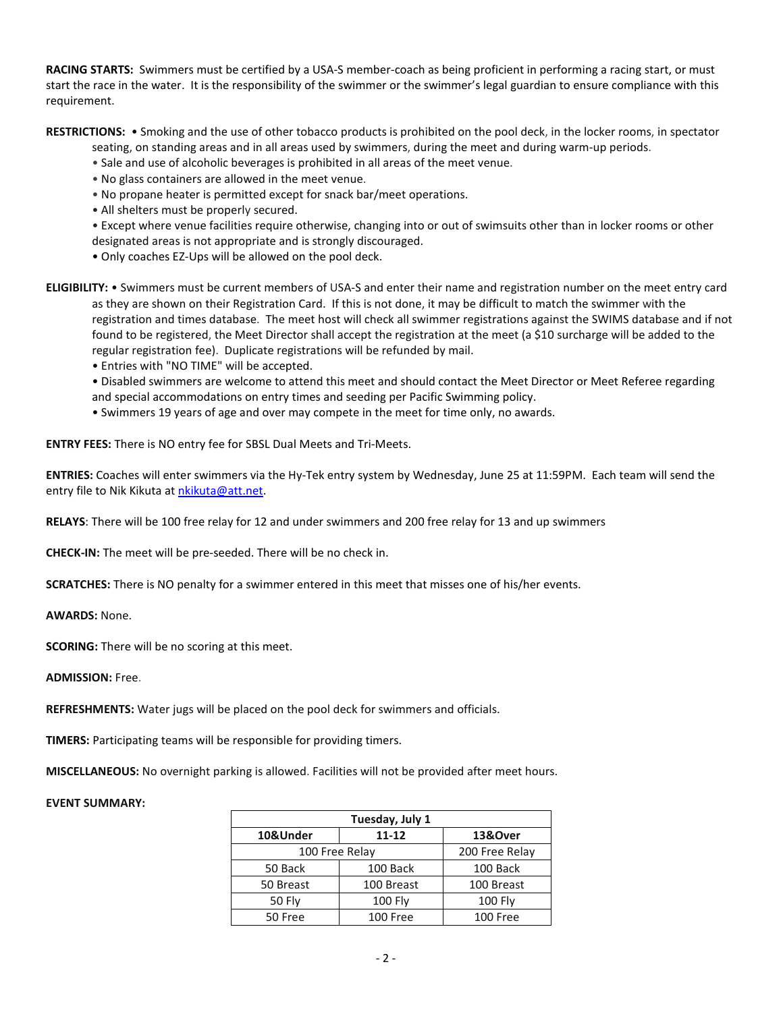**RACING STARTS:** Swimmers must be certified by a USA-S member-coach as being proficient in performing a racing start, or must start the race in the water. It is the responsibility of the swimmer or the swimmer's legal guardian to ensure compliance with this requirement.

**RESTRICTIONS:** • Smoking and the use of other tobacco products is prohibited on the pool deck, in the locker rooms, in spectator

- seating, on standing areas and in all areas used by swimmers, during the meet and during warm-up periods.
- Sale and use of alcoholic beverages is prohibited in all areas of the meet venue.
- No glass containers are allowed in the meet venue.
- No propane heater is permitted except for snack bar/meet operations.
- All shelters must be properly secured.

• Except where venue facilities require otherwise, changing into or out of swimsuits other than in locker rooms or other designated areas is not appropriate and is strongly discouraged.

• Only coaches EZ-Ups will be allowed on the pool deck.

**ELIGIBILITY:** • Swimmers must be current members of USA-S and enter their name and registration number on the meet entry card as they are shown on their Registration Card. If this is not done, it may be difficult to match the swimmer with the registration and times database. The meet host will check all swimmer registrations against the SWIMS database and if not found to be registered, the Meet Director shall accept the registration at the meet (a \$10 surcharge will be added to the regular registration fee). Duplicate registrations will be refunded by mail.

• Entries with "NO TIME" will be accepted.

• Disabled swimmers are welcome to attend this meet and should contact the Meet Director or Meet Referee regarding and special accommodations on entry times and seeding per Pacific Swimming policy.

• Swimmers 19 years of age and over may compete in the meet for time only, no awards.

**ENTRY FEES:** There is NO entry fee for SBSL Dual Meets and Tri-Meets.

**ENTRIES:** Coaches will enter swimmers via the Hy-Tek entry system by Wednesday, June 25 at 11:59PM. Each team will send the entry file to Nik Kikuta a[t nkikuta@att.net.](mailto:nkikuta@att.net)

**RELAYS**: There will be 100 free relay for 12 and under swimmers and 200 free relay for 13 and up swimmers

**CHECK-IN:** The meet will be pre-seeded. There will be no check in.

**SCRATCHES:** There is NO penalty for a swimmer entered in this meet that misses one of his/her events.

**AWARDS:** None.

**SCORING:** There will be no scoring at this meet.

**ADMISSION:** Free.

**REFRESHMENTS:** Water jugs will be placed on the pool deck for swimmers and officials.

**TIMERS:** Participating teams will be responsible for providing timers.

**MISCELLANEOUS:** No overnight parking is allowed. Facilities will not be provided after meet hours.

## **EVENT SUMMARY:**

| Tuesday, July 1 |                |                |  |
|-----------------|----------------|----------------|--|
| 10&Under        | 11-12          | 13&Over        |  |
| 100 Free Relay  |                | 200 Free Relay |  |
| 50 Back         | 100 Back       | 100 Back       |  |
| 50 Breast       | 100 Breast     | 100 Breast     |  |
| <b>50 Fly</b>   | <b>100 Fly</b> | <b>100 Flv</b> |  |
| 50 Free         | 100 Free       | 100 Free       |  |